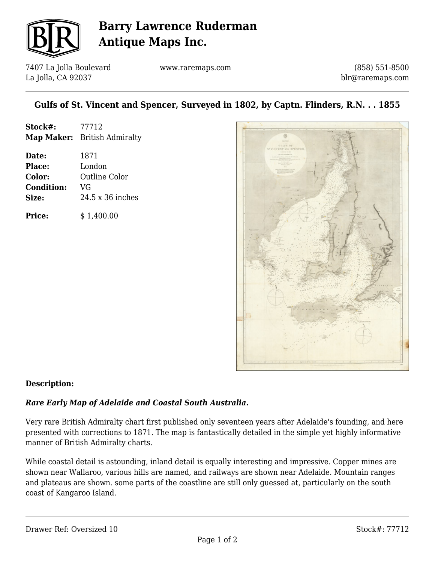

## **Barry Lawrence Ruderman Antique Maps Inc.**

7407 La Jolla Boulevard La Jolla, CA 92037

www.raremaps.com

(858) 551-8500 blr@raremaps.com

### **Gulfs of St. Vincent and Spencer, Surveyed in 1802, by Captn. Flinders, R.N. . . 1855**

| Stock#:           | 77712                        |
|-------------------|------------------------------|
|                   | Map Maker: British Admiralty |
| Date:             | 1871                         |
| Place:            | London                       |
| Color:            | <b>Outline Color</b>         |
| <b>Condition:</b> | VG                           |
| Size:             | 24.5 x 36 inches             |
| <b>Price:</b>     | \$1,400.00                   |



#### **Description:**

#### *Rare Early Map of Adelaide and Coastal South Australia.*

Very rare British Admiralty chart first published only seventeen years after Adelaide's founding, and here presented with corrections to 1871. The map is fantastically detailed in the simple yet highly informative manner of British Admiralty charts.

While coastal detail is astounding, inland detail is equally interesting and impressive. Copper mines are shown near Wallaroo, various hills are named, and railways are shown near Adelaide. Mountain ranges and plateaus are shown. some parts of the coastline are still only guessed at, particularly on the south coast of Kangaroo Island.